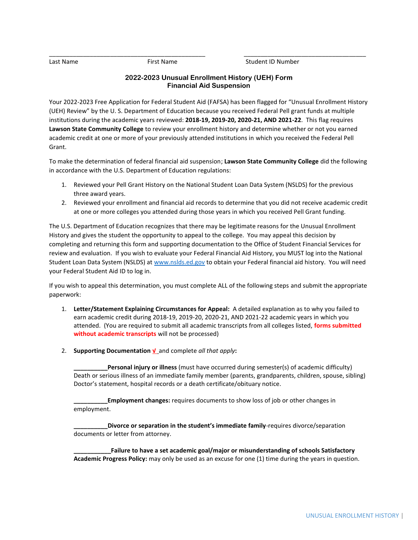Last Name First Name Student ID Number

## **2022-2023 Unusual Enrollment History (UEH) Form Financial Aid Suspension**

\_\_\_\_\_\_\_\_\_\_\_\_\_\_\_\_\_\_\_\_\_\_\_\_\_\_\_\_\_\_\_\_\_\_\_\_\_\_\_\_\_\_\_\_\_\_ \_\_\_\_\_\_\_\_\_\_\_\_\_\_\_\_\_\_\_\_\_\_\_\_\_\_\_\_\_\_\_\_\_\_\_\_

Your 2022-2023 Free Application for Federal Student Aid (FAFSA) has been flagged for "Unusual Enrollment History (UEH) Review" by the U. S. Department of Education because you received Federal Pell grant funds at multiple institutions during the academic years reviewed: **2018-19, 2019-20, 2020-21, AND 2021-22**. This flag requires **Lawson State Community College** to review your enrollment history and determine whether or not you earned academic credit at one or more of your previously attended institutions in which you received the Federal Pell Grant.

To make the determination of federal financial aid suspension; **Lawson State Community College** did the following in accordance with the U.S. Department of Education regulations:

- 1. Reviewed your Pell Grant History on the National Student Loan Data System (NSLDS) for the previous three award years.
- 2. Reviewed your enrollment and financial aid records to determine that you did not receive academic credit at one or more colleges you attended during those years in which you received Pell Grant funding.

The U.S. Department of Education recognizes that there may be legitimate reasons for the Unusual Enrollment History and gives the student the opportunity to appeal to the college. You may appeal this decision by completing and returning this form and supporting documentation to the Office of Student Financial Services for review and evaluation. If you wish to evaluate your Federal Financial Aid History, you MUST log into the National Student Loan Data System (NSLDS) at [www.nslds.ed.gov](http://www.nslds.ed.gov/) to obtain your Federal financial aid history. You will need your Federal Student Aid ID to log in.

If you wish to appeal this determination, you must complete ALL of the following steps and submit the appropriate paperwork:

- 1. **Letter/Statement Explaining Circumstances for Appeal:** A detailed explanation as to why you failed to earn academic credit during 2018-19, 2019-20, 2020-21, AND 2021-22 academic years in which you attended. (You are required to submit all academic transcripts from all colleges listed, **forms submitted without academic transcripts** will not be processed)
- 2. **Supporting Documentation √** and complete *all that apply***:**

**\_\_\_\_\_\_\_\_\_\_Personal injury or illness** (must have occurred during semester(s) of academic difficulty) Death or serious illness of an immediate family member (parents, grandparents, children, spouse, sibling) Doctor's statement, hospital records or a death certificate/obituary notice.

**Employment changes:** requires documents to show loss of job or other changes in employment.

**\_\_\_\_\_\_\_\_\_\_Divorce or separation in the student's immediate family**-requires divorce/separation documents or letter from attorney.

**\_\_\_\_\_\_\_\_\_\_\_Failure to have a set academic goal/major or misunderstanding of schools Satisfactory Academic Progress Policy:** may only be used as an excuse for one (1) time during the years in question.